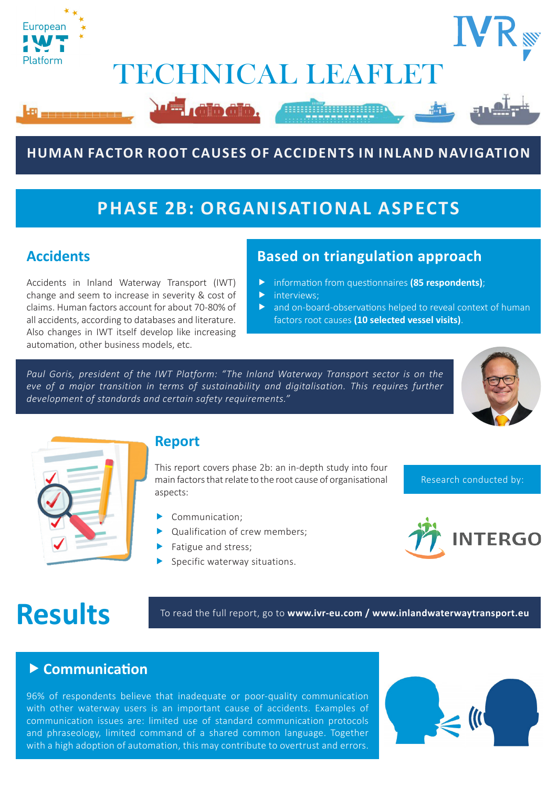

### **HUMAN FACTOR ROOT CAUSES OF ACCIDENTS IN INLAND NAVIGATION**

## **PHASE 2B: ORGANISATIONAL ASPECTS**

#### **Accidents**

Accidents in Inland Waterway Transport (IWT) change and seem to increase in severity & cost of claims. Human factors account for about 70-80% of all accidents, according to databases and literature. Also changes in IWT itself develop like increasing automation, other business models, etc.

#### **Based on triangulation approach**

- **F** information from questionnaires (85 respondents);
- $\blacktriangleright$  interviews;
- $\blacktriangleright$  and on-board-observations helped to reveal context of human factors root causes **(10 selected vessel visits)**.

*Paul Goris, president of the IWT Platform: "The Inland Waterway Transport sector is on the eve of a major transition in terms of sustainability and digitalisation. This requires further development of standards and certain safety requirements."*





#### **Report**

This report covers phase 2b: an in-depth study into four main factors that relate to the root cause of organisational aspects:

- $\blacktriangleright$  Communication;
- $\blacktriangleright$  Qualification of crew members;
- $\blacktriangleright$  Fatigue and stress;
- Specific waterway situations.



Research conducted by:

**Results** To read the full report, go to www.ivr-eu.com / www.inlandwaterwaytransport.eu

#### **Example 2 Communication**

96% of respondents believe that inadequate or poor-quality communication with other waterway users is an important cause of accidents. Examples of communication issues are: limited use of standard communication protocols and phraseology, limited command of a shared common language. Together with a high adoption of automation, this may contribute to overtrust and errors.